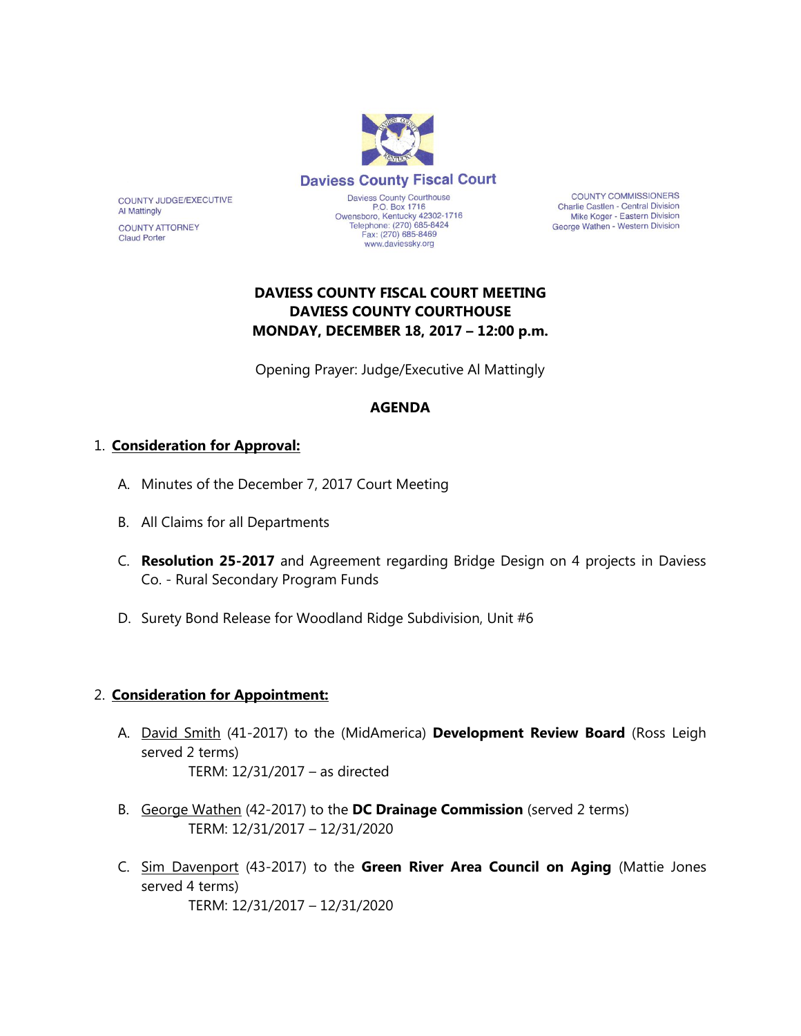

COUNTY COMMISSIONERS Charlie Castlen - Central Division Mike Koger - Eastern Division George Wathen - Western Division

# **DAVIESS COUNTY FISCAL COURT MEETING DAVIESS COUNTY COURTHOUSE MONDAY, DECEMBER 18, 2017 – 12:00 p.m.**

Opening Prayer: Judge/Executive Al Mattingly

### **AGENDA**

### 1. **Consideration for Approval:**

- A. Minutes of the December 7, 2017 Court Meeting
- B. All Claims for all Departments
- C. **Resolution 25-2017** and Agreement regarding Bridge Design on 4 projects in Daviess Co. - Rural Secondary Program Funds
- D. Surety Bond Release for Woodland Ridge Subdivision, Unit #6

### 2. **Consideration for Appointment:**

- A. David Smith (41-2017) to the (MidAmerica) **Development Review Board** (Ross Leigh served 2 terms) TERM: 12/31/2017 – as directed
- B. George Wathen (42-2017) to the **DC Drainage Commission** (served 2 terms) TERM: 12/31/2017 – 12/31/2020
- C. Sim Davenport (43-2017) to the **Green River Area Council on Aging** (Mattie Jones served 4 terms) TERM: 12/31/2017 – 12/31/2020

**COUNTY ATTORNEY Claud Porter** 

**Al Mattingly** 

COUNTY JUDGE/EXECUTIVE